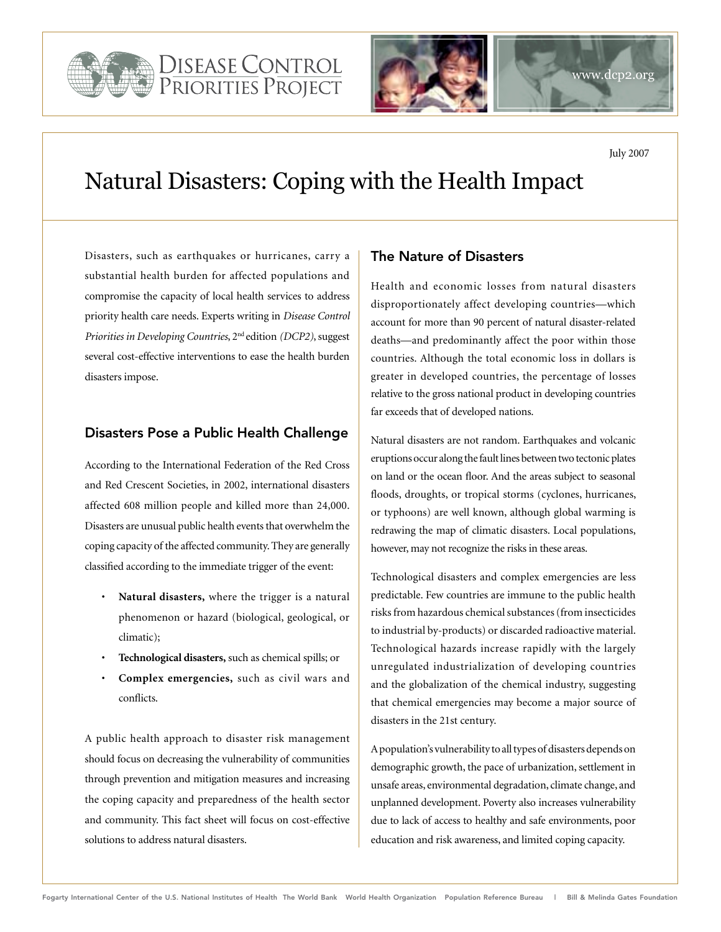



# Natural Disasters: Coping with the Health Impact

Disasters, such as earthquakes or hurricanes, carry a substantial health burden for affected populations and compromise the capacity of local health services to address priority health care needs. Experts writing in *Disease Control Priorities in Developing Countries*, 2nd edition *(DCP2)*, suggest several cost-effective interventions to ease the health burden disasters impose.

### Disasters Pose a Public Health Challenge

According to the International Federation of the Red Cross and Red Crescent Societies, in 2002, international disasters affected 608 million people and killed more than 24,000. Disasters are unusual public health events that overwhelm the coping capacity of the affected community. They are generally classified according to the immediate trigger of the event:

- Natural disasters, where the trigger is a natural phenomenon or hazard (biological, geological, or climatic);
- Technological disasters, such as chemical spills; or
- Complex emergencies, such as civil wars and conflicts.

A public health approach to disaster risk management should focus on decreasing the vulnerability of communities through prevention and mitigation measures and increasing the coping capacity and preparedness of the health sector and community. This fact sheet will focus on cost-effective solutions to address natural disasters.

## The Nature of Disasters

Health and economic losses from natural disasters disproportionately affect developing countries—which account for more than 90 percent of natural disaster-related deaths—and predominantly affect the poor within those countries. Although the total economic loss in dollars is greater in developed countries, the percentage of losses relative to the gross national product in developing countries far exceeds that of developed nations.

Natural disasters are not random. Earthquakes and volcanic eruptions occur along the fault lines between two tectonic plates on land or the ocean floor. And the areas subject to seasonal floods, droughts, or tropical storms (cyclones, hurricanes, or typhoons) are well known, although global warming is redrawing the map of climatic disasters. Local populations, however, may not recognize the risks in these areas.

Technological disasters and complex emergencies are less predictable. Few countries are immune to the public health risks from hazardous chemical substances (from insecticides to industrial by-products) or discarded radioactive material. Technological hazards increase rapidly with the largely unregulated industrialization of developing countries and the globalization of the chemical industry, suggesting that chemical emergencies may become a major source of disasters in the 21st century.

A population's vulnerability to all types of disasters depends on demographic growth, the pace of urbanization, settlement in unsafe areas, environmental degradation, climate change, and unplanned development. Poverty also increases vulnerability due to lack of access to healthy and safe environments, poor education and risk awareness, and limited coping capacity.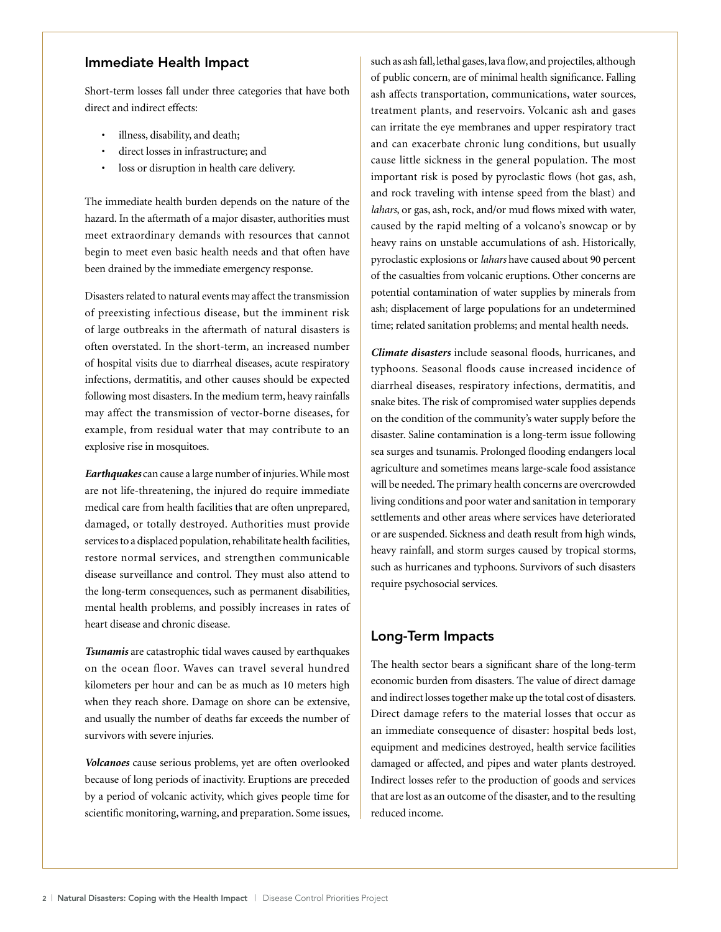#### Immediate Health Impact

Short-term losses fall under three categories that have both direct and indirect effects:

- • illness, disability, and death;
- direct losses in infrastructure; and
- loss or disruption in health care delivery.

The immediate health burden depends on the nature of the hazard. In the aftermath of a major disaster, authorities must meet extraordinary demands with resources that cannot begin to meet even basic health needs and that often have been drained by the immediate emergency response.

Disasters related to natural events may affect the transmission of preexisting infectious disease, but the imminent risk of large outbreaks in the aftermath of natural disasters is often overstated. In the short-term, an increased number of hospital visits due to diarrheal diseases, acute respiratory infections, dermatitis, and other causes should be expected following most disasters. In the medium term, heavy rainfalls may affect the transmission of vector-borne diseases, for example, from residual water that may contribute to an explosive rise in mosquitoes.

*Earthquakes* can cause a large number of injuries. While most are not life-threatening, the injured do require immediate medical care from health facilities that are often unprepared, damaged, or totally destroyed. Authorities must provide services to a displaced population, rehabilitate health facilities, restore normal services, and strengthen communicable disease surveillance and control. They must also attend to the long-term consequences, such as permanent disabilities, mental health problems, and possibly increases in rates of heart disease and chronic disease.

*Tsunamis* are catastrophic tidal waves caused by earthquakes on the ocean floor. Waves can travel several hundred kilometers per hour and can be as much as 10 meters high when they reach shore. Damage on shore can be extensive, and usually the number of deaths far exceeds the number of survivors with severe injuries.

*Volcanoes* cause serious problems, yet are often overlooked because of long periods of inactivity. Eruptions are preceded by a period of volcanic activity, which gives people time for scientific monitoring, warning, and preparation. Some issues, such as ash fall, lethal gases, lava flow, and projectiles, although of public concern, are of minimal health significance. Falling ash affects transportation, communications, water sources, treatment plants, and reservoirs. Volcanic ash and gases can irritate the eye membranes and upper respiratory tract and can exacerbate chronic lung conditions, but usually cause little sickness in the general population. The most important risk is posed by pyroclastic flows (hot gas, ash, and rock traveling with intense speed from the blast) and *lahars*, or gas, ash, rock, and/or mud flows mixed with water, caused by the rapid melting of a volcano's snowcap or by heavy rains on unstable accumulations of ash. Historically, pyroclastic explosions or *lahars* have caused about 90 percent of the casualties from volcanic eruptions. Other concerns are potential contamination of water supplies by minerals from ash; displacement of large populations for an undetermined time; related sanitation problems; and mental health needs.

*Climate disasters* include seasonal floods, hurricanes, and typhoons. Seasonal floods cause increased incidence of diarrheal diseases, respiratory infections, dermatitis, and snake bites. The risk of compromised water supplies depends on the condition of the community's water supply before the disaster. Saline contamination is a long-term issue following sea surges and tsunamis. Prolonged flooding endangers local agriculture and sometimes means large-scale food assistance will be needed. The primary health concerns are overcrowded living conditions and poor water and sanitation in temporary settlements and other areas where services have deteriorated or are suspended. Sickness and death result from high winds, heavy rainfall, and storm surges caused by tropical storms, such as hurricanes and typhoons. Survivors of such disasters require psychosocial services.

### Long-Term Impacts

The health sector bears a significant share of the long-term economic burden from disasters. The value of direct damage and indirect losses together make up the total cost of disasters. Direct damage refers to the material losses that occur as an immediate consequence of disaster: hospital beds lost, equipment and medicines destroyed, health service facilities damaged or affected, and pipes and water plants destroyed. Indirect losses refer to the production of goods and services that are lost as an outcome of the disaster, and to the resulting reduced income.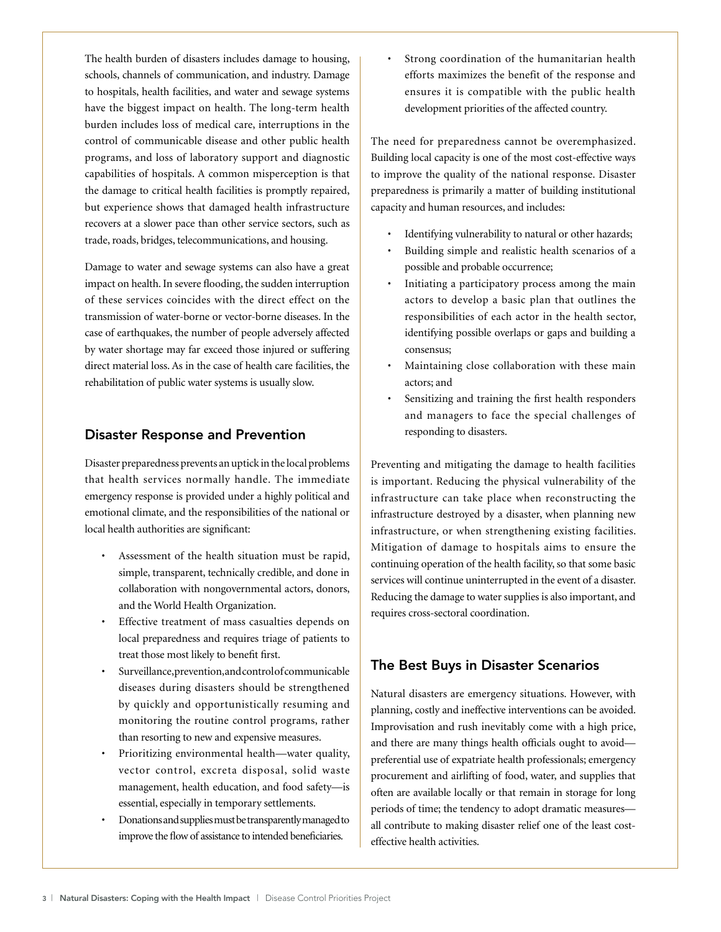The health burden of disasters includes damage to housing, schools, channels of communication, and industry. Damage to hospitals, health facilities, and water and sewage systems have the biggest impact on health. The long-term health burden includes loss of medical care, interruptions in the control of communicable disease and other public health programs, and loss of laboratory support and diagnostic capabilities of hospitals. A common misperception is that the damage to critical health facilities is promptly repaired, but experience shows that damaged health infrastructure recovers at a slower pace than other service sectors, such as trade, roads, bridges, telecommunications, and housing.

Damage to water and sewage systems can also have a great impact on health. In severe flooding, the sudden interruption of these services coincides with the direct effect on the transmission of water-borne or vector-borne diseases. In the case of earthquakes, the number of people adversely affected by water shortage may far exceed those injured or suffering direct material loss. As in the case of health care facilities, the rehabilitation of public water systems is usually slow.

#### Disaster Response and Prevention

Disaster preparedness prevents an uptick in the local problems that health services normally handle. The immediate emergency response is provided under a highly political and emotional climate, and the responsibilities of the national or local health authorities are significant:

- Assessment of the health situation must be rapid, simple, transparent, technically credible, and done in collaboration with nongovernmental actors, donors, and the World Health Organization.
- Effective treatment of mass casualties depends on local preparedness and requires triage of patients to treat those most likely to benefit first.
- Surveillance, prevention, and control of communicable diseases during disasters should be strengthened by quickly and opportunistically resuming and monitoring the routine control programs, rather than resorting to new and expensive measures.
- Prioritizing environmental health—water quality, vector control, excreta disposal, solid waste management, health education, and food safety—is essential, especially in temporary settlements.
- Donations and supplies must be transparently managed to improve the flow of assistance to intended beneficiaries.

Strong coordination of the humanitarian health efforts maximizes the benefit of the response and ensures it is compatible with the public health development priorities of the affected country.

The need for preparedness cannot be overemphasized. Building local capacity is one of the most cost-effective ways to improve the quality of the national response. Disaster preparedness is primarily a matter of building institutional capacity and human resources, and includes:

- Identifying vulnerability to natural or other hazards;
- Building simple and realistic health scenarios of a possible and probable occurrence;
- Initiating a participatory process among the main actors to develop a basic plan that outlines the responsibilities of each actor in the health sector, identifying possible overlaps or gaps and building a consensus;
- Maintaining close collaboration with these main actors; and
- Sensitizing and training the first health responders and managers to face the special challenges of responding to disasters.

Preventing and mitigating the damage to health facilities is important. Reducing the physical vulnerability of the infrastructure can take place when reconstructing the infrastructure destroyed by a disaster, when planning new infrastructure, or when strengthening existing facilities. Mitigation of damage to hospitals aims to ensure the continuing operation of the health facility, so that some basic services will continue uninterrupted in the event of a disaster. Reducing the damage to water supplies is also important, and requires cross-sectoral coordination.

## The Best Buys in Disaster Scenarios

Natural disasters are emergency situations. However, with planning, costly and ineffective interventions can be avoided. Improvisation and rush inevitably come with a high price, and there are many things health officials ought to avoid preferential use of expatriate health professionals; emergency procurement and airlifting of food, water, and supplies that often are available locally or that remain in storage for long periods of time; the tendency to adopt dramatic measures all contribute to making disaster relief one of the least costeffective health activities.